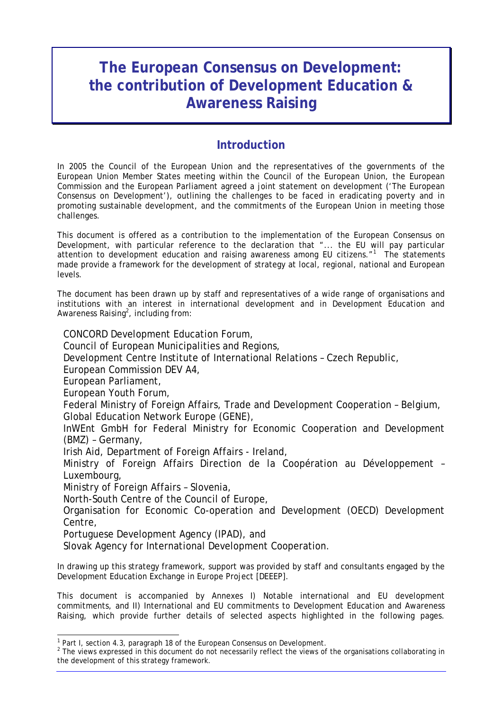# **The European Consensus on Development: the contribution of Development Education & Awareness Raising**

# **Introduction**

In 2005 the Council of the European Union and the representatives of the governments of the European Union Member States meeting within the Council of the European Union, the European Commission and the European Parliament agreed a joint statement on development ('The European Consensus on Development'), outlining the challenges to be faced in eradicating poverty and in promoting sustainable development, and the commitments of the European Union in meeting those challenges.

This document is offered as a contribution to the implementation of the European Consensus on Development, with particular reference to the declaration that "... the EU will pay particular attention to development education and raising awareness among EU citizens."<sup>1</sup> The statements made provide a framework for the development of strategy at local, regional, national and European levels.

The document has been drawn up by staff and representatives of a wide range of organisations and institutions with an interest in international development and in Development Education and Awareness Raising<sup>2</sup>, including from:

CONCORD Development Education Forum, Council of European Municipalities and Regions, Development Centre Institute of International Relations – Czech Republic, European Commission DEV A4, European Parliament, European Youth Forum, Federal Ministry of Foreign Affairs, Trade and Development Cooperation – Belgium, Global Education Network Europe (GENE), InWEnt GmbH for Federal Ministry for Economic Cooperation and Development (BMZ) – Germany, Irish Aid, Department of Foreign Affairs - Ireland, Ministry of Foreign Affairs Direction de la Coopération au Développement – Luxembourg, Ministry of Foreign Affairs – Slovenia,

North-South Centre of the Council of Europe,

Organisation for Economic Co-operation and Development (OECD) Development Centre,

Portuguese Development Agency (IPAD), and

l

Slovak Agency for International Development Cooperation.

In drawing up this strategy framework, support was provided by staff and consultants engaged by the Development Education Exchange in Europe Project [DEEEP].

This document is accompanied by Annexes I) Notable international and EU development commitments, and II) International and EU commitments to Development Education and Awareness Raising, which provide further details of selected aspects highlighted in the following pages.

<sup>&</sup>lt;sup>1</sup> Part I, section 4.3, paragraph 18 of the European Consensus on Development.<br><sup>2</sup> The views expressed in this decument do not pecessarily reflect the views of

 $2$  The views expressed in this document do not necessarily reflect the views of the organisations collaborating in the development of this strategy framework.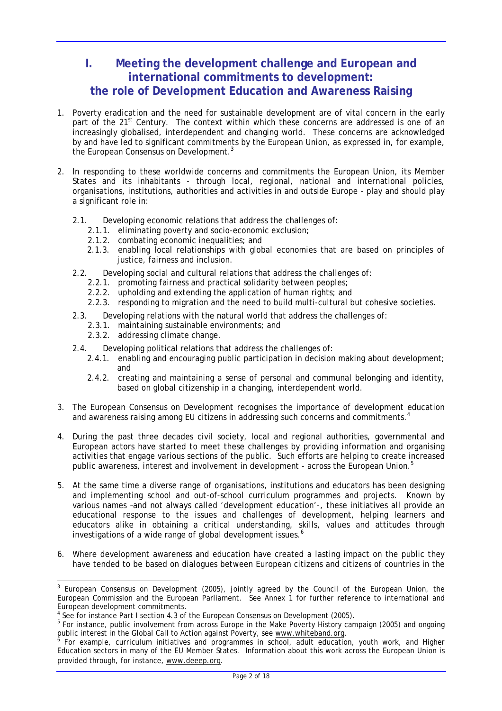# **I. Meeting the development challenge and European and international commitments to development: the role of Development Education and Awareness Raising**

- 1. Poverty eradication and the need for sustainable development are of vital concern in the early part of the 21<sup>st</sup> Century. The context within which these concerns are addressed is one of an increasingly globalised, interdependent and changing world. These concerns are acknowledged by and have led to significant commitments by the European Union, as expressed in, for example, the European Consensus on Development.<sup>3</sup>
- 2. In responding to these worldwide concerns and commitments the European Union, its Member States and its inhabitants - through local, regional, national and international policies, organisations, institutions, authorities and activities in and outside Europe - play and should play a significant role in:
	- 2.1. Developing economic relations that address the challenges of:
		- 2.1.1. eliminating poverty and socio-economic exclusion;
		- 2.1.2. combating economic inequalities; and
		- 2.1.3. enabling local relationships with global economies that are based on principles of justice, fairness and inclusion.
	- 2.2. Developing social and cultural relations that address the challenges of:
		- 2.2.1. promoting fairness and practical solidarity between peoples;
		- 2.2.2. upholding and extending the application of human rights; and
		- 2.2.3. responding to migration and the need to build multi-cultural but cohesive societies.
	- 2.3. Developing relations with the natural world that address the challenges of:
		- 2.3.1. maintaining sustainable environments; and
		- 2.3.2. addressing climate change.

 $\overline{a}$ 

- 2.4. Developing political relations that address the challenges of:
	- 2.4.1. enabling and encouraging public participation in decision making about development; and
	- 2.4.2. creating and maintaining a sense of personal and communal belonging and identity, based on global citizenship in a changing, interdependent world.
- 3. The European Consensus on Development recognises the importance of development education and awareness raising among EU citizens in addressing such concerns and commitments.<sup>4</sup>
- 4. During the past three decades civil society, local and regional authorities, governmental and European actors have started to meet these challenges by providing information and organising activities that engage various sections of the public. Such efforts are helping to create increased public awareness, interest and involvement in development - across the European Union.<sup>5</sup>
- 5. At the same time a diverse range of organisations, institutions and educators has been designing and implementing school and out-of-school curriculum programmes and projects. Known by various names –and not always called 'development education'-, these initiatives all provide an educational response to the issues and challenges of development, helping learners and educators alike in obtaining a critical understanding, skills, values and attitudes through investigations of a wide range of global development issues.<sup>6</sup>
- 6. Where development awareness and education have created a lasting impact on the public they have tended to be based on dialogues between European citizens and citizens of countries in the

<sup>&</sup>lt;sup>3</sup> European Consensus on Development (2005), jointly agreed by the Council of the European Union, the European Commission and the European Parliament. See Annex 1 for further reference to international and European development commitments.

<sup>4</sup> See for instance Part I section 4.3 of the European Consensus on Development (2005).

<sup>&</sup>lt;sup>5</sup> For instance, public involvement from across Europe in the Make Poverty History campaign (2005) and ongoing public interest in the Global Call to Action against Poverty, see www.whiteband.org.

For example, curriculum initiatives and programmes in school, adult education, youth work, and Higher Education sectors in many of the EU Member States. Information about this work across the European Union is provided through, for instance, www.deeep.org.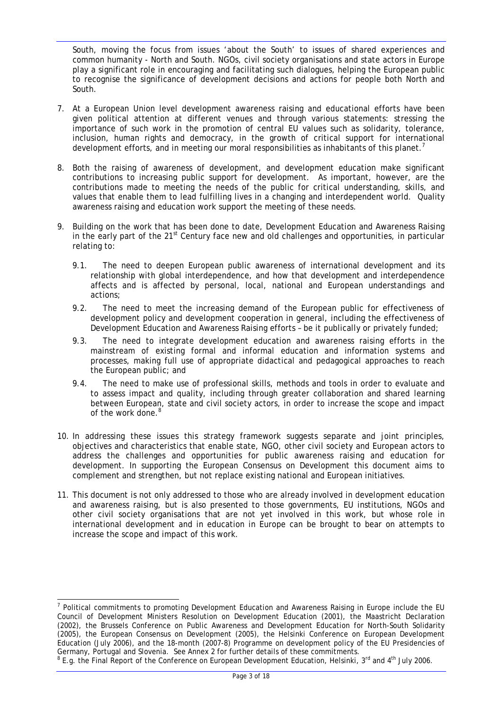South, moving the focus from issues 'about the South' to issues of shared experiences and common humanity - North and South. NGOs, civil society organisations and state actors in Europe play a significant role in encouraging and facilitating such dialogues, helping the European public to recognise the significance of development decisions and actions for people both North and South.

- 7. At a European Union level development awareness raising and educational efforts have been given political attention at different venues and through various statements: stressing the importance of such work in the promotion of central EU values such as solidarity, tolerance, inclusion, human rights and democracy, in the growth of critical support for international development efforts, and in meeting our moral responsibilities as inhabitants of this planet.<sup>7</sup>
- 8. Both the raising of awareness of development, and development education make significant contributions to increasing public support for development. As important, however, are the contributions made to meeting the needs of the public for critical understanding, skills, and values that enable them to lead fulfilling lives in a changing and interdependent world. Quality awareness raising and education work support the meeting of these needs.
- 9. Building on the work that has been done to date, Development Education and Awareness Raising in the early part of the 21<sup>st</sup> Century face new and old challenges and opportunities, in particular relating to:
	- 9.1. The need to deepen European public awareness of international development and its relationship with global interdependence, and how that development and interdependence affects and is affected by personal, local, national and European understandings and actions;
	- 9.2. The need to meet the increasing demand of the European public for effectiveness of development policy and development cooperation in general, including the effectiveness of Development Education and Awareness Raising efforts – be it publically or privately funded;
	- 9.3. The need to integrate development education and awareness raising efforts in the mainstream of existing formal and informal education and information systems and processes, making full use of appropriate didactical and pedagogical approaches to reach the European public; and
	- 9.4. The need to make use of professional skills, methods and tools in order to evaluate and to assess impact and quality, including through greater collaboration and shared learning between European, state and civil society actors, in order to increase the scope and impact of the work done.<sup>8</sup>
- 10. In addressing these issues this strategy framework suggests separate and joint principles, objectives and characteristics that enable state, NGO, other civil society and European actors to address the challenges and opportunities for public awareness raising and education for development. In supporting the European Consensus on Development this document aims to complement and strengthen, but not replace existing national and European initiatives.
- 11. This document is not only addressed to those who are already involved in development education and awareness raising, but is also presented to those governments, EU institutions, NGOs and other civil society organisations that are not yet involved in this work, but whose role in international development and in education in Europe can be brought to bear on attempts to increase the scope and impact of this work.

l <sup>7</sup> Political commitments to promoting Development Education and Awareness Raising in Europe include the EU Council of Development Ministers Resolution on Development Education (2001), the Maastricht Declaration (2002), the Brussels Conference on Public Awareness and Development Education for North-South Solidarity (2005), the European Consensus on Development (2005), the Helsinki Conference on European Development Education (July 2006), and the 18-month (2007-8) Programme on development policy of the EU Presidencies of Germany, Portugal and Slovenia. See Annex 2 for further details of these commitments. 8

<sup>&</sup>lt;sup>8</sup> E.g. the Final Report of the Conference on European Development Education, Helsinki, 3<sup>rd</sup> and 4<sup>th</sup> July 2006.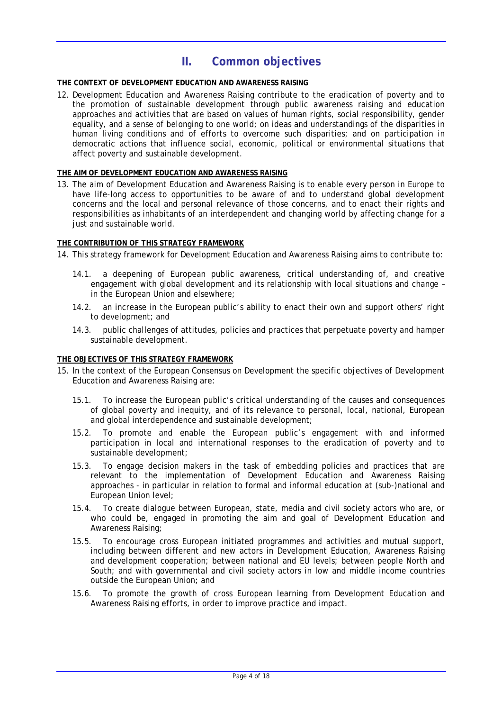# **II. Common objectives**

### **THE CONTEXT OF DEVELOPMENT EDUCATION AND AWARENESS RAISING**

12. Development Education and Awareness Raising contribute to the eradication of poverty and to the promotion of sustainable development through public awareness raising and education approaches and activities that are based on values of human rights, social responsibility, gender equality, and a sense of belonging to one world; on ideas and understandings of the disparities in human living conditions and of efforts to overcome such disparities; and on participation in democratic actions that influence social, economic, political or environmental situations that affect poverty and sustainable development.

#### **THE AIM OF DEVELOPMENT EDUCATION AND AWARENESS RAISING**

13. The aim of Development Education and Awareness Raising is to enable every person in Europe to have life-long access to opportunities to be aware of and to understand global development concerns and the local and personal relevance of those concerns, and to enact their rights and responsibilities as inhabitants of an interdependent and changing world by affecting change for a just and sustainable world.

### **THE CONTRIBUTION OF THIS STRATEGY FRAMEWORK**

- 14. This strategy framework for Development Education and Awareness Raising aims to contribute to:
	- 14.1. a deepening of European public awareness, critical understanding of, and creative engagement with global development and its relationship with local situations and change – in the European Union and elsewhere;
	- 14.2. an increase in the European public's ability to enact their own and support others' right to development; and
	- 14.3. public challenges of attitudes, policies and practices that perpetuate poverty and hamper sustainable development.

#### **THE OBJECTIVES OF THIS STRATEGY FRAMEWORK**

- 15. In the context of the European Consensus on Development the specific objectives of Development Education and Awareness Raising are:
	- 15.1. To increase the European public's critical understanding of the causes and consequences of global poverty and inequity, and of its relevance to personal, local, national, European and global interdependence and sustainable development;
	- 15.2. To promote and enable the European public's engagement with and informed participation in local and international responses to the eradication of poverty and to sustainable development;
	- 15.3. To engage decision makers in the task of embedding policies and practices that are relevant to the implementation of Development Education and Awareness Raising approaches - in particular in relation to formal and informal education at (sub-)national and European Union level;
	- 15.4. To create dialogue between European, state, media and civil society actors who are, or who could be, engaged in promoting the aim and goal of Development Education and Awareness Raising;
	- 15.5. To encourage cross European initiated programmes and activities and mutual support, including between different and new actors in Development Education, Awareness Raising and development cooperation; between national and EU levels; between people North and South; and with governmental and civil society actors in low and middle income countries outside the European Union; and
	- 15.6. To promote the growth of cross European learning from Development Education and Awareness Raising efforts, in order to improve practice and impact.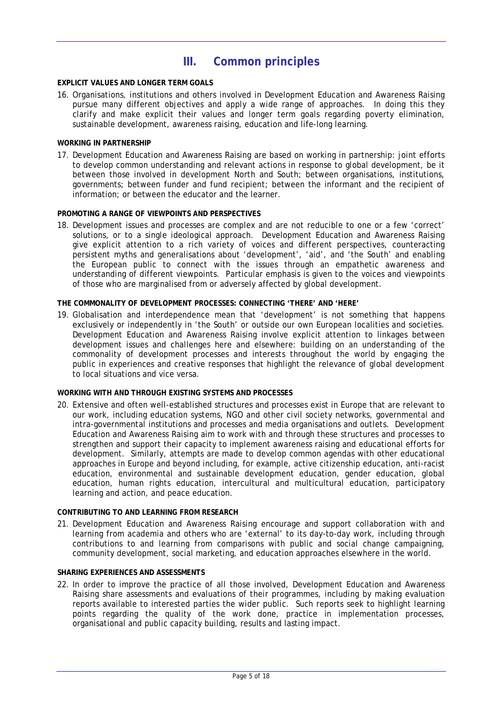# **III. Common principles**

### **EXPLICIT VALUES AND LONGER TERM GOALS**

16. Organisations, institutions and others involved in Development Education and Awareness Raising pursue many different objectives and apply a wide range of approaches. In doing this they clarify and make explicit their values and longer term goals regarding poverty elimination, sustainable development, awareness raising, education and life-long learning.

### **WORKING IN PARTNERSHIP**

17. Development Education and Awareness Raising are based on working in partnership: joint efforts to develop common understanding and relevant actions in response to global development, be it between those involved in development North and South; between organisations, institutions, governments; between funder and fund recipient; between the informant and the recipient of information; or between the educator and the learner.

### **PROMOTING A RANGE OF VIEWPOINTS AND PERSPECTIVES**

18. Development issues and processes are complex and are not reducible to one or a few 'correct' solutions, or to a single ideological approach. Development Education and Awareness Raising give explicit attention to a rich variety of voices and different perspectives, counteracting persistent myths and generalisations about 'development', 'aid', and 'the South' and enabling the European public to connect with the issues through an empathetic awareness and understanding of different viewpoints. Particular emphasis is given to the voices and viewpoints of those who are marginalised from or adversely affected by global development.

### **THE COMMONALITY OF DEVELOPMENT PROCESSES: CONNECTING 'THERE' AND 'HERE'**

19. Globalisation and interdependence mean that 'development' is not something that happens exclusively or independently in 'the South' or outside our own European localities and societies. Development Education and Awareness Raising involve explicit attention to linkages between development issues and challenges here and elsewhere: building on an understanding of the commonality of development processes and interests throughout the world by engaging the public in experiences and creative responses that highlight the relevance of global development to local situations and vice versa.

#### **WORKING WITH AND THROUGH EXISTING SYSTEMS AND PROCESSES**

20. Extensive and often well-established structures and processes exist in Europe that are relevant to our work, including education systems, NGO and other civil society networks, governmental and intra-governmental institutions and processes and media organisations and outlets. Development Education and Awareness Raising aim to work with and through these structures and processes to strengthen and support their capacity to implement awareness raising and educational efforts for development. Similarly, attempts are made to develop common agendas with other educational approaches in Europe and beyond including, for example, active citizenship education, anti-racist education, environmental and sustainable development education, gender education, global education, human rights education, intercultural and multicultural education, participatory learning and action, and peace education.

#### **CONTRIBUTING TO AND LEARNING FROM RESEARCH**

21. Development Education and Awareness Raising encourage and support collaboration with and learning from academia and others who are 'external' to its day-to-day work, including through contributions to and learning from comparisons with public and social change campaigning, community development, social marketing, and education approaches elsewhere in the world.

#### **SHARING EXPERIENCES AND ASSESSMENTS**

22. In order to improve the practice of all those involved, Development Education and Awareness Raising share assessments and evaluations of their programmes, including by making evaluation reports available to interested parties the wider public. Such reports seek to highlight learning points regarding the quality of the work done, practice in implementation processes, organisational and public capacity building, results and lasting impact.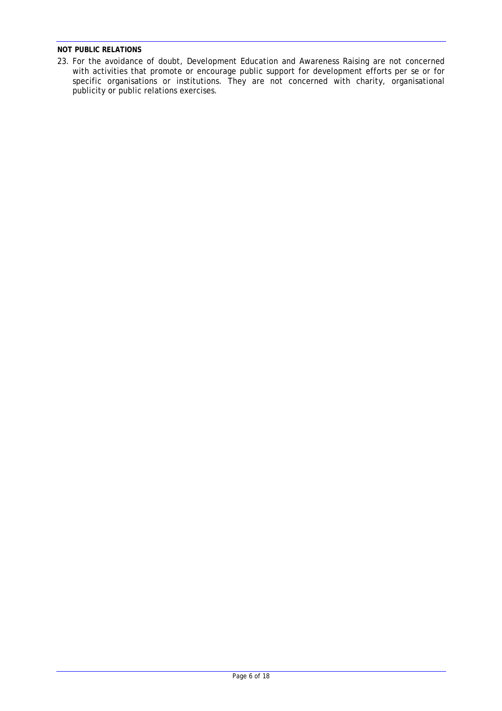### **NOT PUBLIC RELATIONS**

23. For the avoidance of doubt, Development Education and Awareness Raising are not concerned with activities that promote or encourage public support for development efforts *per se* or for specific organisations or institutions. They are not concerned with charity, organisational publicity or public relations exercises.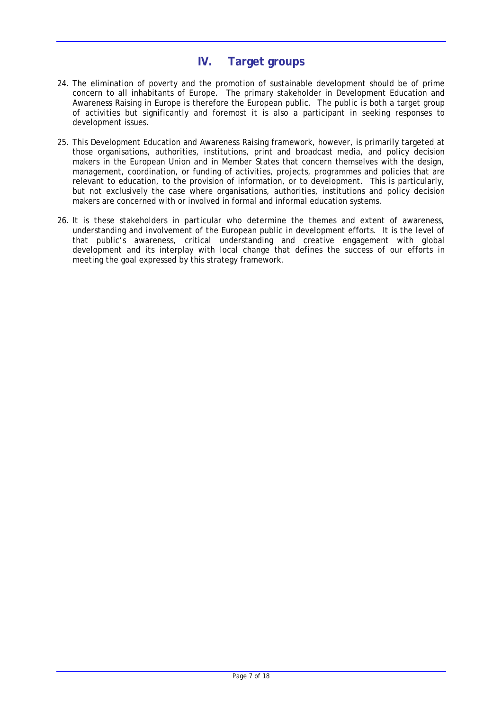# **IV. Target groups**

- 24. The elimination of poverty and the promotion of sustainable development should be of prime concern to all inhabitants of Europe. The primary stakeholder in Development Education and Awareness Raising in Europe is therefore the European public. The public is both a target group of activities but significantly and foremost it is also a participant in seeking responses to development issues.
- 25. This Development Education and Awareness Raising framework, however, is primarily targeted at those organisations, authorities, institutions, print and broadcast media, and policy decision makers in the European Union and in Member States that concern themselves with the design, management, coordination, or funding of activities, projects, programmes and policies that are relevant to education, to the provision of information, or to development. This is particularly, but not exclusively the case where organisations, authorities, institutions and policy decision makers are concerned with or involved in formal and informal education systems.
- 26. It is these stakeholders in particular who determine the themes and extent of awareness, understanding and involvement of the European public in development efforts. It is the level of that public's awareness, critical understanding and creative engagement with global development and its interplay with local change that defines the success of our efforts in meeting the goal expressed by this strategy framework.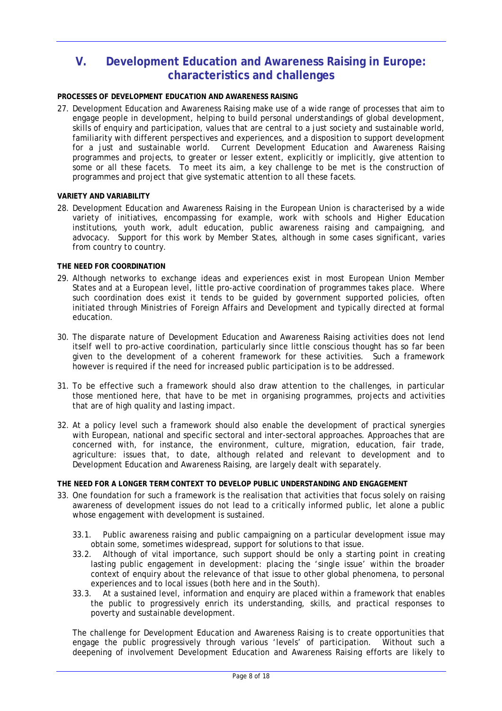# **V. Development Education and Awareness Raising in Europe: characteristics and challenges**

### **PROCESSES OF DEVELOPMENT EDUCATION AND AWARENESS RAISING**

27. Development Education and Awareness Raising make use of a wide range of processes that aim to engage people in development, helping to build personal understandings of global development, skills of enquiry and participation, values that are central to a just society and sustainable world, familiarity with different perspectives and experiences, and a disposition to support development for a just and sustainable world. Current Development Education and Awareness Raising programmes and projects, to greater or lesser extent, explicitly or implicitly, give attention to some or all these facets. To meet its aim, a key challenge to be met is the construction of programmes and project that give systematic attention to all these facets.

#### **VARIETY AND VARIABILITY**

28. Development Education and Awareness Raising in the European Union is characterised by a wide variety of initiatives, encompassing for example, work with schools and Higher Education institutions, youth work, adult education, public awareness raising and campaigning, and advocacy. Support for this work by Member States, although in some cases significant, varies from country to country.

### **THE NEED FOR COORDINATION**

- 29. Although networks to exchange ideas and experiences exist in most European Union Member States and at a European level, little pro-active coordination of programmes takes place. Where such coordination does exist it tends to be guided by government supported policies, often initiated through Ministries of Foreign Affairs and Development and typically directed at formal education.
- 30. The disparate nature of Development Education and Awareness Raising activities does not lend itself well to pro-active coordination, particularly since little conscious thought has so far been given to the development of a coherent framework for these activities. Such a framework however is required if the need for increased public participation is to be addressed.
- 31. To be effective such a framework should also draw attention to the challenges, in particular those mentioned here, that have to be met in organising programmes, projects and activities that are of high quality and lasting impact.
- 32. At a policy level such a framework should also enable the development of practical synergies with European, national and specific sectoral and inter-sectoral approaches. Approaches that are concerned with, for instance, the environment, culture, migration, education, fair trade, agriculture: issues that, to date, although related and relevant to development and to Development Education and Awareness Raising, are largely dealt with separately.

#### **THE NEED FOR A LONGER TERM CONTEXT TO DEVELOP PUBLIC UNDERSTANDING AND ENGAGEMENT**

- 33. One foundation for such a framework is the realisation that activities that focus solely on raising awareness of development issues do not lead to a critically informed public, let alone a public whose engagement with development is sustained.
	- 33.1. Public awareness raising and public campaigning on a particular development issue may obtain some, sometimes widespread, support for solutions to that issue.
	- 33.2. Although of vital importance, such support should be only a starting point in creating lasting public engagement in development: placing the 'single issue' within the broader context of enquiry about the relevance of that issue to other global phenomena, to personal experiences and to local issues (both here and in the South).<br>33.3. At a sustained level, information and enguiry are placed
	- At a sustained level, information and enquiry are placed within a framework that enables the public to progressively enrich its understanding, skills, and practical responses to poverty and sustainable development.

The challenge for Development Education and Awareness Raising is to create opportunities that engage the public progressively through various 'levels' of participation. Without such a deepening of involvement Development Education and Awareness Raising efforts are likely to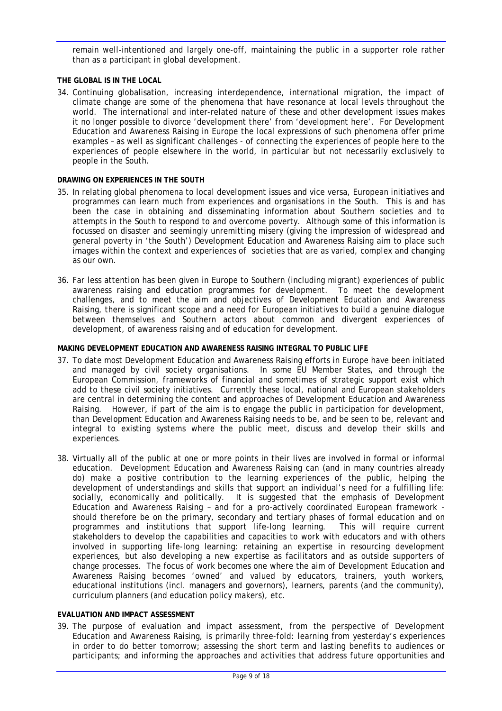remain well-intentioned and largely one-off, maintaining the public in a supporter role rather than as a participant in global development.

### **THE GLOBAL IS IN THE LOCAL**

34. Continuing globalisation, increasing interdependence, international migration, the impact of climate change are some of the phenomena that have resonance at local levels throughout the world. The international and inter-related nature of these and other development issues makes it no longer possible to divorce 'development there' from 'development here'. For Development Education and Awareness Raising in Europe the local expressions of such phenomena offer prime examples – as well as significant challenges - of connecting the experiences of people here to the experiences of people elsewhere in the world, in particular but not necessarily exclusively to people in the South.

### **DRAWING ON EXPERIENCES IN THE SOUTH**

- 35. In relating global phenomena to local development issues and vice versa, European initiatives and programmes can learn much from experiences and organisations in the South. This is and has been the case in obtaining and disseminating information about Southern societies and to attempts in the South to respond to and overcome poverty. Although some of this information is focussed on disaster and seemingly unremitting misery (giving the impression of widespread and general poverty in 'the South') Development Education and Awareness Raising aim to place such images within the context and experiences of societies that are as varied, complex and changing as our own.
- 36. Far less attention has been given in Europe to Southern (including migrant) experiences of public awareness raising and education programmes for development. To meet the development challenges, and to meet the aim and objectives of Development Education and Awareness Raising, there is significant scope and a need for European initiatives to build a genuine dialogue between themselves and Southern actors about common and divergent experiences of development, of awareness raising and of education for development.

### **MAKING DEVELOPMENT EDUCATION AND AWARENESS RAISING INTEGRAL TO PUBLIC LIFE**

- 37. To date most Development Education and Awareness Raising efforts in Europe have been initiated and managed by civil society organisations. In some EU Member States, and through the European Commission, frameworks of financial and sometimes of strategic support exist which add to these civil society initiatives. Currently these local, national and European stakeholders are central in determining the content and approaches of Development Education and Awareness Raising. However, if part of the aim is to engage the public in participation for development, than Development Education and Awareness Raising needs to be, and be seen to be, relevant and integral to existing systems where the public meet, discuss and develop their skills and experiences.
- 38. Virtually all of the public at one or more points in their lives are involved in formal or informal education. Development Education and Awareness Raising can (and in many countries already do) make a positive contribution to the learning experiences of the public, helping the development of understandings and skills that support an individual's need for a fulfilling life: socially, economically and politically. It is suggested that the emphasis of Development Education and Awareness Raising – and for a pro-actively coordinated European framework should therefore be on the primary, secondary and tertiary phases of formal education and on programmes and institutions that support life-long learning. This will require current stakeholders to develop the capabilities and capacities to work with educators and with others involved in supporting life-long learning: retaining an expertise in resourcing development experiences, but also developing a new expertise as facilitators and as outside supporters of change processes. The focus of work becomes one where the aim of Development Education and Awareness Raising becomes 'owned' and valued by educators, trainers, youth workers, educational institutions (incl. managers and governors), learners, parents (and the community), curriculum planners (and education policy makers), etc.

### **EVALUATION AND IMPACT ASSESSMENT**

39. The purpose of evaluation and impact assessment, from the perspective of Development Education and Awareness Raising, is primarily three-fold: learning from yesterday's experiences in order to do better tomorrow; assessing the short term and lasting benefits to audiences or participants; and informing the approaches and activities that address future opportunities and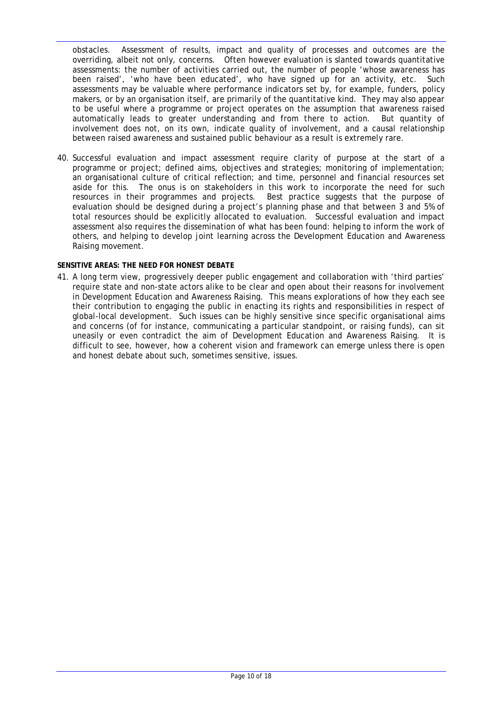obstacles. Assessment of results, impact and quality of processes and outcomes are the overriding, albeit not only, concerns. Often however evaluation is slanted towards quantitative assessments: the number of activities carried out, the number of people 'whose awareness has been raised', 'who have been educated', who have signed up for an activity, etc. Such assessments may be valuable where performance indicators set by, for example, funders, policy makers, or by an organisation itself, are primarily of the quantitative kind. They may also appear to be useful where a programme or project operates on the assumption that awareness raised automatically leads to greater understanding and from there to action. But quantity of involvement does not, on its own, indicate quality of involvement, and a causal relationship between raised awareness and sustained public behaviour as a result is extremely rare.

40. Successful evaluation and impact assessment require clarity of purpose at the start of a programme or project; defined aims, objectives and strategies; monitoring of implementation; an organisational culture of critical reflection; and time, personnel and financial resources set aside for this. The onus is on stakeholders in this work to incorporate the need for such resources in their programmes and projects. Best practice suggests that the purpose of evaluation should be designed during a project's planning phase and that between 3 and 5% of total resources should be explicitly allocated to evaluation. Successful evaluation and impact assessment also requires the dissemination of what has been found: helping to inform the work of others, and helping to develop joint learning across the Development Education and Awareness Raising movement.

### **SENSITIVE AREAS: THE NEED FOR HONEST DEBATE**

41. A long term view, progressively deeper public engagement and collaboration with 'third parties' require state and non-state actors alike to be clear and open about their reasons for involvement in Development Education and Awareness Raising. This means explorations of how they each see their contribution to engaging the public in enacting its rights and responsibilities in respect of global-local development. Such issues can be highly sensitive since specific organisational aims and concerns (of for instance, communicating a particular standpoint, or raising funds), can sit uneasily or even contradict the aim of Development Education and Awareness Raising. It is difficult to see, however, how a coherent vision and framework can emerge unless there is open and honest debate about such, sometimes sensitive, issues.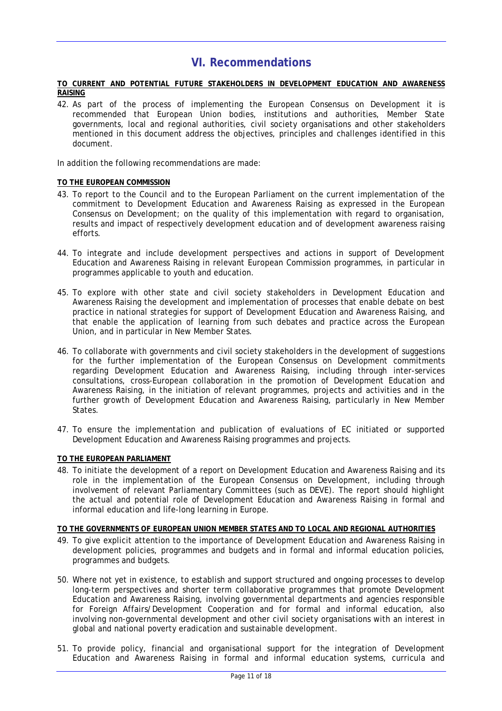# **VI. Recommendations**

#### **TO CURRENT AND POTENTIAL FUTURE STAKEHOLDERS IN DEVELOPMENT EDUCATION AND AWARENESS RAISING**

42. As part of the process of implementing the European Consensus on Development it is recommended that European Union bodies, institutions and authorities, Member State governments, local and regional authorities, civil society organisations and other stakeholders mentioned in this document address the objectives, principles and challenges identified in this document.

In addition the following recommendations are made:

### **TO THE EUROPEAN COMMISSION**

- 43. To report to the Council and to the European Parliament on the current implementation of the commitment to Development Education and Awareness Raising as expressed in the European Consensus on Development; on the quality of this implementation with regard to organisation, results and impact of respectively development education and of development awareness raising efforts.
- 44. To integrate and include development perspectives and actions in support of Development Education and Awareness Raising in relevant European Commission programmes, in particular in programmes applicable to youth and education.
- 45. To explore with other state and civil society stakeholders in Development Education and Awareness Raising the development and implementation of processes that enable debate on best practice in national strategies for support of Development Education and Awareness Raising, and that enable the application of learning from such debates and practice across the European Union, and in particular in New Member States.
- 46. To collaborate with governments and civil society stakeholders in the development of suggestions for the further implementation of the European Consensus on Development commitments regarding Development Education and Awareness Raising, including through inter-services consultations, cross-European collaboration in the promotion of Development Education and Awareness Raising, in the initiation of relevant programmes, projects and activities and in the further growth of Development Education and Awareness Raising, particularly in New Member States.
- 47. To ensure the implementation and publication of evaluations of EC initiated or supported Development Education and Awareness Raising programmes and projects.

### **TO THE EUROPEAN PARLIAMENT**

48. To initiate the development of a report on Development Education and Awareness Raising and its role in the implementation of the European Consensus on Development, including through involvement of relevant Parliamentary Committees (such as DEVE). The report should highlight the actual and potential role of Development Education and Awareness Raising in formal and informal education and life-long learning in Europe.

#### **TO THE GOVERNMENTS OF EUROPEAN UNION MEMBER STATES AND TO LOCAL AND REGIONAL AUTHORITIES**

- 49. To give explicit attention to the importance of Development Education and Awareness Raising in development policies, programmes and budgets and in formal and informal education policies, programmes and budgets.
- 50. Where not yet in existence, to establish and support structured and ongoing processes to develop long-term perspectives and shorter term collaborative programmes that promote Development Education and Awareness Raising, involving governmental departments and agencies responsible for Foreign Affairs/Development Cooperation and for formal and informal education, also involving non-governmental development and other civil society organisations with an interest in global and national poverty eradication and sustainable development.
- 51. To provide policy, financial and organisational support for the integration of Development Education and Awareness Raising in formal and informal education systems, curricula and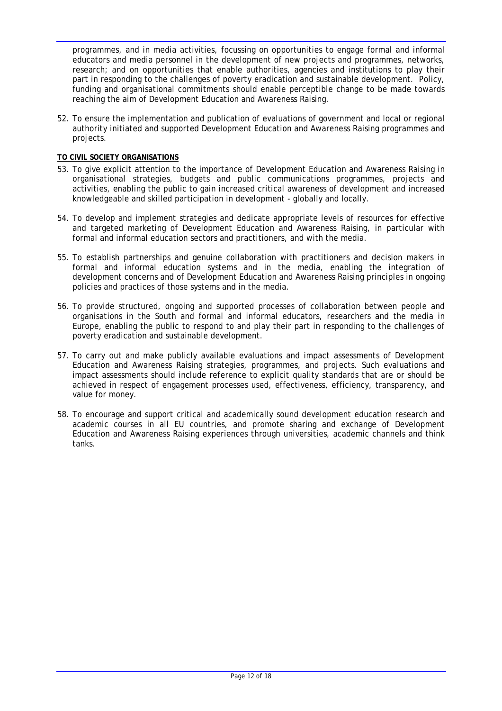programmes, and in media activities, focussing on opportunities to engage formal and informal educators and media personnel in the development of new projects and programmes, networks, research; and on opportunities that enable authorities, agencies and institutions to play their part in responding to the challenges of poverty eradication and sustainable development. Policy, funding and organisational commitments should enable perceptible change to be made towards reaching the aim of Development Education and Awareness Raising.

52. To ensure the implementation and publication of evaluations of government and local or regional authority initiated and supported Development Education and Awareness Raising programmes and projects.

### **TO CIVIL SOCIETY ORGANISATIONS**

- 53. To give explicit attention to the importance of Development Education and Awareness Raising in organisational strategies, budgets and public communications programmes, projects and activities, enabling the public to gain increased critical awareness of development and increased knowledgeable and skilled participation in development - globally and locally.
- 54. To develop and implement strategies and dedicate appropriate levels of resources for effective and targeted marketing of Development Education and Awareness Raising, in particular with formal and informal education sectors and practitioners, and with the media.
- 55. To establish partnerships and genuine collaboration with practitioners and decision makers in formal and informal education systems and in the media, enabling the integration of development concerns and of Development Education and Awareness Raising principles in ongoing policies and practices of those systems and in the media.
- 56. To provide structured, ongoing and supported processes of collaboration between people and organisations in the South and formal and informal educators, researchers and the media in Europe, enabling the public to respond to and play their part in responding to the challenges of poverty eradication and sustainable development.
- 57. To carry out and make publicly available evaluations and impact assessments of Development Education and Awareness Raising strategies, programmes, and projects. Such evaluations and impact assessments should include reference to explicit quality standards that are or should be achieved in respect of engagement processes used, effectiveness, efficiency, transparency, and value for money.
- 58. To encourage and support critical and academically sound development education research and academic courses in all EU countries, and promote sharing and exchange of Development Education and Awareness Raising experiences through universities, academic channels and think tanks.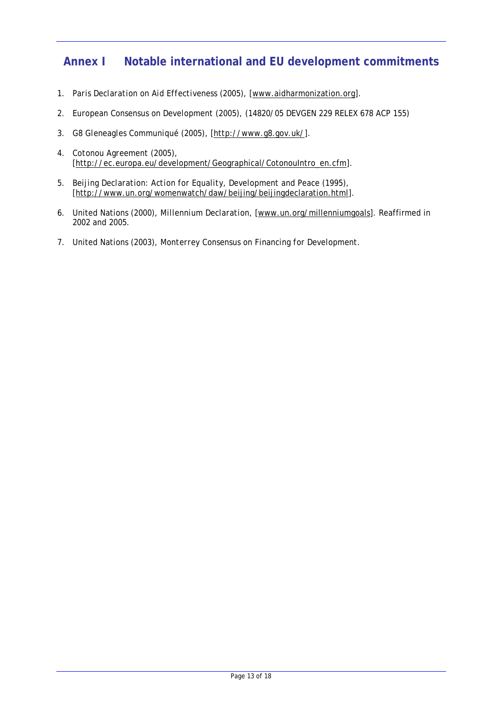# **Annex I Notable international and EU development commitments**

- 1. *Paris Declaration on Aid Effectiveness* (2005), [www.aidharmonization.org].
- 2. *European Consensus on Development* (2005), (14820/05 DEVGEN 229 RELEX 678 ACP 155)
- 3. *G8 Gleneagles Communiqué* (2005), [http://www.g8.gov.uk/].
- 4. *Cotonou Agreement* (2005), [http://ec.europa.eu/development/Geographical/CotonouIntro\_en.cfm].
- 5. *Beijing Declaration: Action for Equality, Development and Peace* (1995), [http://www.un.org/womenwatch/daw/beijing/beijingdeclaration.html].
- 6. United Nations (2000), *Millennium Declaration*, [www.un.org/millenniumgoals]. Reaffirmed in 2002 and 2005.
- 7. United Nations (2003), *Monterrey Consensus on Financing for Development*.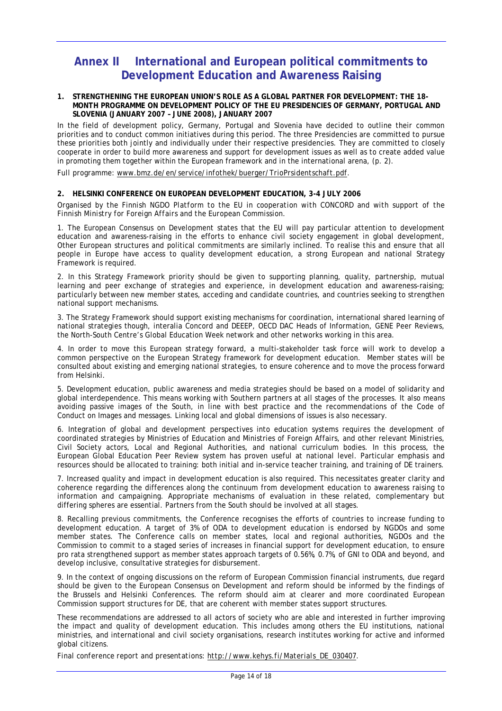# **Annex II International and European political commitments to Development Education and Awareness Raising**

#### **1. STRENGTHENING THE EUROPEAN UNION'S ROLE AS A GLOBAL PARTNER FOR DEVELOPMENT: THE 18- MONTH PROGRAMME ON DEVELOPMENT POLICY OF THE EU PRESIDENCIES OF GERMANY, PORTUGAL AND SLOVENIA (JANUARY 2007 – JUNE 2008), JANUARY 2007**

In the field of development policy, Germany, Portugal and Slovenia have decided to outline their common priorities and to conduct common initiatives during this period. The three Presidencies are committed to pursue these priorities both jointly and individually under their respective presidencies. They are committed to closely cooperate in order to build more awareness and support for development issues as well as to create added value in promoting them together within the European framework and in the international arena, (p. 2).

*Full programme: www.bmz.de/en/service/infothek/buerger/TrioPrsidentschaft.pdf.* 

#### **2. HELSINKI CONFERENCE ON EUROPEAN DEVELOPMENT EDUCATION, 3-4 JULY 2006**

*Organised by the Finnish NGDO Platform to the EU in cooperation with CONCORD and with support of the Finnish Ministry for Foreign Affairs and the European Commission.* 

1. The European Consensus on Development states that the EU will pay particular attention to development education and awareness-raising in the efforts to enhance civil society engagement in global development, Other European structures and political commitments are similarly inclined. To realise this and ensure that all people in Europe have access to quality development education, a strong European and national Strategy Framework is required.

2. In this Strategy Framework priority should be given to supporting planning, quality, partnership, mutual learning and peer exchange of strategies and experience, in development education and awareness-raising; particularly between new member states, acceding and candidate countries, and countries seeking to strengthen national support mechanisms.

3. The Strategy Framework should support existing mechanisms for coordination, international shared learning of national strategies though, interalia Concord and DEEEP, OECD DAC Heads of Information, GENE Peer Reviews, the North-South Centre's Global Education Week network and other networks working in this area.

4. In order to move this European strategy forward, a multi-stakeholder task force will work to develop a common perspective on the European Strategy framework for development education. Member states will be consulted about existing and emerging national strategies, to ensure coherence and to move the process forward from Helsinki.

5. Development education, public awareness and media strategies should be based on a model of solidarity and global interdependence. This means working with Southern partners at all stages of the processes. It also means avoiding passive images of the South, in line with best practice and the recommendations of the Code of Conduct on Images and messages. Linking local and global dimensions of issues is also necessary.

6. Integration of global and development perspectives into education systems requires the development of coordinated strategies by Ministries of Education and Ministries of Foreign Affairs, and other relevant Ministries, Civil Society actors, Local and Regional Authorities, and national curriculum bodies. In this process, the European Global Education Peer Review system has proven useful at national level. Particular emphasis and resources should be allocated to training: both initial and in-service teacher training, and training of DE trainers.

7. Increased quality and impact in development education is also required. This necessitates greater clarity and coherence regarding the differences along the continuum from development education to awareness raising to information and campaigning. Appropriate mechanisms of evaluation in these related, complementary but differing spheres are essential. Partners from the South should be involved at all stages.

8. Recalling previous commitments, the Conference recognises the efforts of countries to increase funding to development education. A target of 3% of ODA to development education is endorsed by NGDOs and some member states. The Conference calls on member states, local and regional authorities, NGDOs and the Commission to commit to a staged series of increases in financial support for development education, to ensure pro rata strengthened support as member states approach targets of 0.56%, 0.7%, of GNI to ODA and beyond, and develop inclusive, consultative strategies for disbursement.

9. In the context of ongoing discussions on the reform of European Commission financial instruments, due regard should be given to the European Consensus on Development and reform should be informed by the findings of the Brussels and Helsinki Conferences. The reform should aim at clearer and more coordinated European Commission support structures for DE, that are coherent with member states support structures.

These recommendations are addressed to all actors of society who are able and interested in further improving the impact and quality of development education. This includes among others the EU institutions, national ministries, and international and civil society organisations, research institutes working for active and informed global citizens.

*Final conference report and presentations: http://www.kehys.fi/Materials\_DE\_030407.*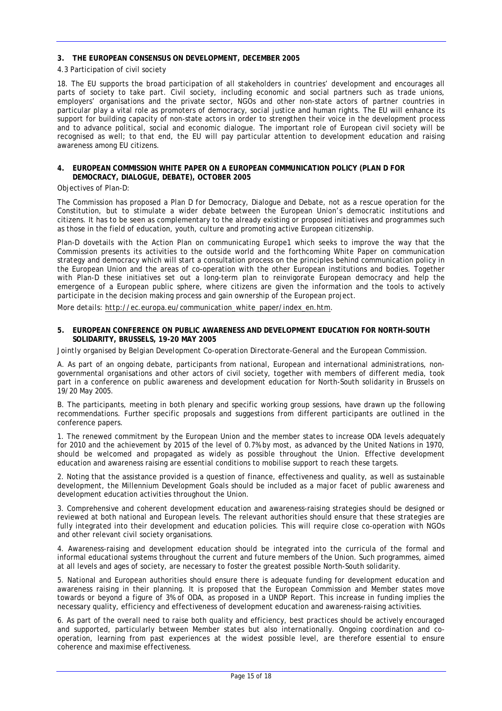#### **3. THE EUROPEAN CONSENSUS ON DEVELOPMENT, DECEMBER 2005**

#### 4.3 Participation of civil society

18. The EU supports the broad participation of all stakeholders in countries' development and encourages all parts of society to take part. Civil society, including economic and social partners such as trade unions, employers' organisations and the private sector, NGOs and other non-state actors of partner countries in particular play a vital role as promoters of democracy, social justice and human rights. The EU will enhance its support for building capacity of non-state actors in order to strengthen their voice in the development process and to advance political, social and economic dialogue. The important role of European civil society will be recognised as well; to that end, the EU will pay particular attention to development education and raising awareness among EU citizens.

#### **4. EUROPEAN COMMISSION WHITE PAPER ON A EUROPEAN COMMUNICATION POLICY (PLAN D FOR DEMOCRACY, DIALOGUE, DEBATE), OCTOBER 2005**

#### Objectives of Plan-D:

The Commission has proposed a Plan D for Democracy, Dialogue and Debate, not as a rescue operation for the Constitution, but to stimulate a wider debate between the European Union's democratic institutions and citizens. It has to be seen as complementary to the already existing or proposed initiatives and programmes such as those in the field of education, youth, culture and promoting active European citizenship.

Plan-D dovetails with the Action Plan on communicating Europe1 which seeks to improve the way that the Commission presents its activities to the outside world and the forthcoming White Paper on communication strategy and democracy which will start a consultation process on the principles behind communication policy in the European Union and the areas of co-operation with the other European institutions and bodies. Together with Plan-D these initiatives set out a long-term plan to reinvigorate European democracy and help the emergence of a European public sphere, where citizens are given the information and the tools to actively participate in the decision making process and gain ownership of the European project.

*More details: http://ec.europa.eu/communication\_white\_paper/index\_en.htm.* 

#### **5. EUROPEAN CONFERENCE ON PUBLIC AWARENESS AND DEVELOPMENT EDUCATION FOR NORTH-SOUTH SOLIDARITY, BRUSSELS, 19-20 MAY 2005**

*Jointly organised by Belgian Development Co-operation Directorate-General and the European Commission.* 

A. As part of an ongoing debate, participants from national, European and international administrations, nongovernmental organisations and other actors of civil society, together with members of different media, took part in a conference on public awareness and development education for North-South solidarity in Brussels on 19/20 May 2005.

B. The participants, meeting in both plenary and specific working group sessions, have drawn up the following recommendations. Further specific proposals and suggestions from different participants are outlined in the conference papers.

1. The renewed commitment by the European Union and the member states to increase ODA levels adequately for 2010 and the achievement by 2015 of the level of 0.7% by most, as advanced by the United Nations in 1970, should be welcomed and propagated as widely as possible throughout the Union. Effective development education and awareness raising are essential conditions to mobilise support to reach these targets.

2. Noting that the assistance provided is a question of finance, effectiveness and quality, as well as sustainable development, the Millennium Development Goals should be included as a major facet of public awareness and development education activities throughout the Union.

3. Comprehensive and coherent development education and awareness-raising strategies should be designed or reviewed at both national and European levels. The relevant authorities should ensure that these strategies are fully integrated into their development and education policies. This will require close co-operation with NGOs and other relevant civil society organisations.

4. Awareness-raising and development education should be integrated into the curricula of the formal and informal educational systems throughout the current and future members of the Union. Such programmes, aimed at all levels and ages of society, are necessary to foster the greatest possible North-South solidarity.

5. National and European authorities should ensure there is adequate funding for development education and awareness raising in their planning. It is proposed that the European Commission and Member states move towards or beyond a figure of 3% of ODA, as proposed in a UNDP Report. This increase in funding implies the necessary quality, efficiency and effectiveness of development education and awareness-raising activities.

6. As part of the overall need to raise both quality and efficiency, best practices should be actively encouraged and supported, particularly between Member states but also internationally. Ongoing coordination and cooperation, learning from past experiences at the widest possible level, are therefore essential to ensure coherence and maximise effectiveness.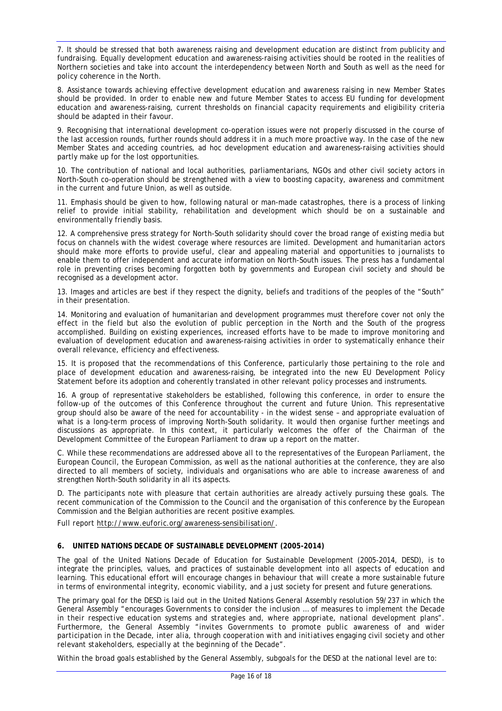7. It should be stressed that both awareness raising and development education are distinct from publicity and fundraising. Equally development education and awareness-raising activities should be rooted in the realities of Northern societies and take into account the interdependency between North and South as well as the need for policy coherence in the North.

8. Assistance towards achieving effective development education and awareness raising in new Member States should be provided. In order to enable new and future Member States to access EU funding for development education and awareness-raising, current thresholds on financial capacity requirements and eligibility criteria should be adapted in their favour.

9. Recognising that international development co-operation issues were not properly discussed in the course of the last accession rounds, further rounds should address it in a much more proactive way. In the case of the new Member States and acceding countries, ad hoc development education and awareness-raising activities should partly make up for the lost opportunities.

10. The contribution of national and local authorities, parliamentarians, NGOs and other civil society actors in North-South co-operation should be strengthened with a view to boosting capacity, awareness and commitment in the current and future Union, as well as outside.

11. Emphasis should be given to how, following natural or man-made catastrophes, there is a process of linking relief to provide initial stability, rehabilitation and development which should be on a sustainable and environmentally friendly basis.

12. A comprehensive press strategy for North-South solidarity should cover the broad range of existing media but focus on channels with the widest coverage where resources are limited. Development and humanitarian actors should make more efforts to provide useful, clear and appealing material and opportunities to journalists to enable them to offer independent and accurate information on North-South issues. The press has a fundamental role in preventing crises becoming forgotten both by governments and European civil society and should be recognised as a development actor.

13. Images and articles are best if they respect the dignity, beliefs and traditions of the peoples of the "South" in their presentation.

14. Monitoring and evaluation of humanitarian and development programmes must therefore cover not only the effect in the field but also the evolution of public perception in the North and the South of the progress accomplished. Building on existing experiences, increased efforts have to be made to improve monitoring and evaluation of development education and awareness-raising activities in order to systematically enhance their overall relevance, efficiency and effectiveness.

15. It is proposed that the recommendations of this Conference, particularly those pertaining to the role and place of development education and awareness-raising, be integrated into the new EU Development Policy Statement before its adoption and coherently translated in other relevant policy processes and instruments.

16. A group of representative stakeholders be established, following this conference, in order to ensure the follow-up of the outcomes of this Conference throughout the current and future Union. This representative group should also be aware of the need for accountability - in the widest sense – and appropriate evaluation of what is a long-term process of improving North-South solidarity. It would then organise further meetings and discussions as appropriate. In this context, it particularly welcomes the offer of the Chairman of the Development Committee of the European Parliament to draw up a report on the matter.

C. While these recommendations are addressed above all to the representatives of the European Parliament, the European Council, the European Commission, as well as the national authorities at the conference, they are also directed to all members of society, individuals and organisations who are able to increase awareness of and strengthen North-South solidarity in all its aspects.

D. The participants note with pleasure that certain authorities are already actively pursuing these goals. The recent communication of the Commission to the Council and the organisation of this conference by the European Commission and the Belgian authorities are recent positive examples.

*Full report http://www.euforic.org/awareness-sensibilisation/.* 

#### **6. UNITED NATIONS DECADE OF SUSTAINABLE DEVELOPMENT (2005-2014)**

The goal of the United Nations Decade of Education for Sustainable Development (2005-2014, DESD), is to integrate the principles, values, and practices of sustainable development into all aspects of education and learning. This educational effort will encourage changes in behaviour that will create a more sustainable future in terms of environmental integrity, economic viability, and a just society for present and future generations.

The primary goal for the DESD is laid out in the United Nations General Assembly resolution 59/237 in which the General Assembly "*encourages Governments to consider the inclusion … of measures to implement the Decade in their respective education systems and strategies and, where appropriate, national development plans*". Furthermore, the General Assembly "*invites Governments to promote public awareness of and wider participation in the Decade, inter alia, through cooperation with and initiatives engaging civil society and other relevant stakeholders, especially at the beginning of the Decade*".

Within the broad goals established by the General Assembly, subgoals for the DESD at the national level are to: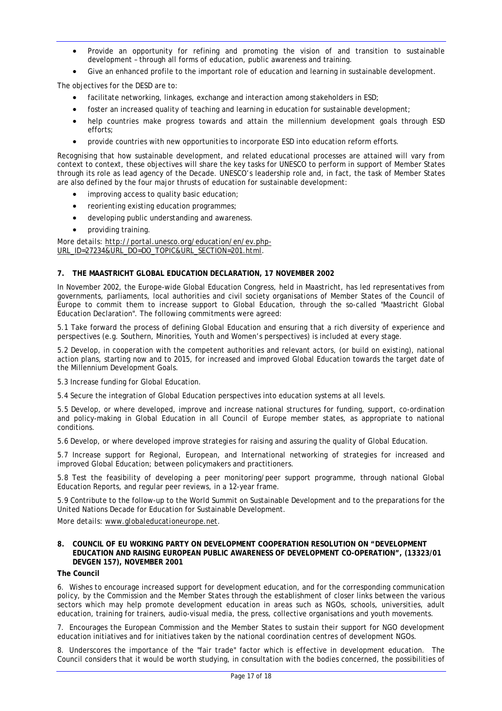- Provide an opportunity for refining and promoting the vision of and transition to sustainable development – through all forms of education, public awareness and training.
- Give an enhanced profile to the important role of education and learning in sustainable development.

The objectives for the DESD are to:

- facilitate networking, linkages, exchange and interaction among stakeholders in ESD;
- foster an increased quality of teaching and learning in education for sustainable development;
- help countries make progress towards and attain the millennium development goals through ESD efforts;
- provide countries with new opportunities to incorporate ESD into education reform efforts.

Recognising that how sustainable development, and related educational processes are attained will vary from context to context, these objectives will share the key tasks for UNESCO to perform in support of Member States through its role as lead agency of the Decade. UNESCO's leadership role and, in fact, the task of Member States are also defined by the four major thrusts of education for sustainable development:

- improving access to quality basic education;
- reorienting existing education programmes;
- developing public understanding and awareness.
- providing training.

*More details: http://portal.unesco.org/education/en/ev.php-URL\_ID=27234&URL\_DO=DO\_TOPIC&URL\_SECTION=201.html.* 

#### **7. THE MAASTRICHT GLOBAL EDUCATION DECLARATION, 17 NOVEMBER 2002**

In November 2002, the Europe-wide Global Education Congress, held in Maastricht, has led representatives from governments, parliaments, local authorities and civil society organisations of Member States of the Council of Europe to commit them to increase support to Global Education, through the so-called "Maastricht Global Education Declaration". The following commitments were agreed:

5.1 Take forward the process of defining Global Education and ensuring that a rich diversity of experience and perspectives (e.g. Southern, Minorities, Youth and Women's perspectives) is included at every stage.

5.2 Develop, in cooperation with the competent authorities and relevant actors, (or build on existing), national action plans, starting now and to 2015, for increased and improved Global Education towards the target date of the Millennium Development Goals.

5.3 Increase funding for Global Education.

5.4 Secure the integration of Global Education perspectives into education systems at all levels.

5.5 Develop, or where developed, improve and increase national structures for funding, support, co-ordination and policy-making in Global Education in all Council of Europe member states, as appropriate to national conditions.

5.6 Develop, or where developed improve strategies for raising and assuring the quality of Global Education.

5.7 Increase support for Regional, European, and International networking of strategies for increased and improved Global Education; between policymakers and practitioners.

5.8 Test the feasibility of developing a peer monitoring/peer support programme, through national Global Education Reports, and regular peer reviews, in a 12-year frame.

5.9 Contribute to the follow-up to the World Summit on Sustainable Development and to the preparations for the United Nations Decade for Education for Sustainable Development.

*More details: www.globaleducationeurope.net.* 

#### **8. COUNCIL OF EU WORKING PARTY ON DEVELOPMENT COOPERATION RESOLUTION ON "DEVELOPMENT EDUCATION AND RAISING EUROPEAN PUBLIC AWARENESS OF DEVELOPMENT CO-OPERATION", (13323/01 DEVGEN 157), NOVEMBER 2001**

**The Council** 

6. Wishes to encourage increased support for development education, and for the corresponding communication policy, by the Commission and the Member States through the establishment of closer links between the various sectors which may help promote development education in areas such as NGOs, schools, universities, adult education, training for trainers, audio-visual media, the press, collective organisations and youth movements.

7. Encourages the European Commission and the Member States to sustain their support for NGO development education initiatives and for initiatives taken by the national coordination centres of development NGOs.

8. Underscores the importance of the "fair trade" factor which is effective in development education. The Council considers that it would be worth studying, in consultation with the bodies concerned, the possibilities of